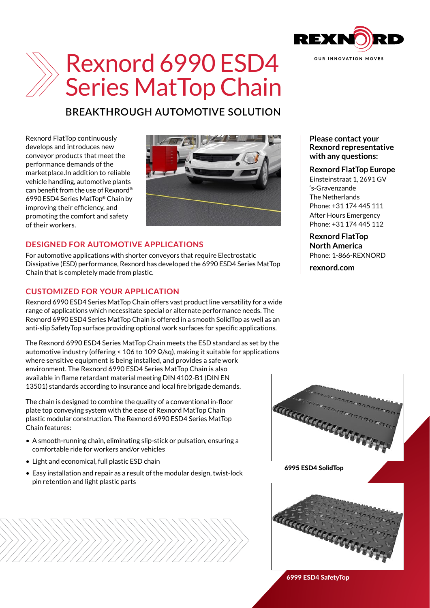

# Rexnord 6990 ESD4 Series MatTop Chain

# **BREAKTHROUGH AUTOMOTIVE SOLUTION**

Rexnord FlatTop continuously develops and introduces new conveyor products that meet the performance demands of the marketplace.In addition to reliable vehicle handling, automotive plants can benefit from the use of Rexnord® 6990 ESD4 Series MatTop® Chain by improving their efficiency, and promoting the comfort and safety of their workers.



### **DESIGNED FOR AUTOMOTIVE APPLICATIONS**

For automotive applications with shorter conveyors that require Electrostatic Dissipative (ESD) performance, Rexnord has developed the 6990 ESD4 Series MatTop Chain that is completely made from plastic.

## **CUSTOMIZED FOR YOUR APPLICATION**

Rexnord 6990 ESD4 Series MatTop Chain offers vast product line versatility for a wide range of applications which necessitate special or alternate performance needs. The Rexnord 6990 ESD4 Series MatTop Chain is offered in a smooth SolidTop as well as an anti-slip SafetyTop surface providing optional work surfaces for specific applications.

The Rexnord 6990 ESD4 Series MatTop Chain meets the ESD standard as set by the automotive industry (offering < 106 to 109 Ω/sq), making it suitable for applications where sensitive equipment is being installed, and provides a safe work environment. The Rexnord 6990 ESD4 Series MatTop Chain is also available in flame retardant material meeting DIN 4102-B1 (DIN EN 13501) standards according to insurance and local fire brigade demands.

The chain is designed to combine the quality of a conventional in-floor plate top conveying system with the ease of Rexnord MatTop Chain plastic modular construction. The Rexnord 6990 ESD4 Series MatTop Chain features:

- A smooth-running chain, eliminating slip-stick or pulsation, ensuring a comfortable ride for workers and/or vehicles
- Light and economical, full plastic ESD chain
- Easy installation and repair as a result of the modular design, twist-lock pin retention and light plastic parts



#### 6995 ESD4 SolidTop



6999 ESD4 SafetyTop

**Please contact your Rexnord representative with any questions:**

#### **Rexnord FlatTop Europe**

Einsteinstraat 1, 2691 GV 's-Gravenzande The Netherlands Phone: +31 174 445 111 After Hours Emergency Phone: +31 174 445 112

**Rexnord FlatTop North America** Phone: 1-866-REXNORD

**rexnord.com**